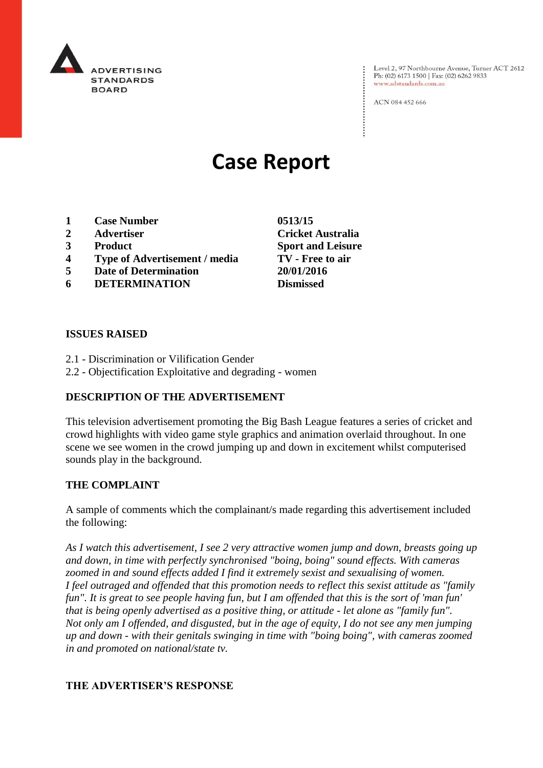

Level 2, 97 Northbourne Avenue, Turner ACT 2612<br>Ph: (02) 6173 1500 | Fax: (02) 6262 9833 www.adstandards.com.au

ACN 084 452 666

# **Case Report**

- **1 Case Number 0513/15**
- **2 Advertiser Cricket Australia**
- **3 Product Sport and Leisure**
- **4 Type of Advertisement / media TV - Free to air**
- **5 Date of Determination 20/01/2016**
- **6 DETERMINATION Dismissed**

**ISSUES RAISED**

- 2.1 Discrimination or Vilification Gender
- 2.2 Objectification Exploitative and degrading women

## **DESCRIPTION OF THE ADVERTISEMENT**

This television advertisement promoting the Big Bash League features a series of cricket and crowd highlights with video game style graphics and animation overlaid throughout. In one scene we see women in the crowd jumping up and down in excitement whilst computerised sounds play in the background.

### **THE COMPLAINT**

A sample of comments which the complainant/s made regarding this advertisement included the following:

*As I watch this advertisement, I see 2 very attractive women jump and down, breasts going up and down, in time with perfectly synchronised "boing, boing" sound effects. With cameras zoomed in and sound effects added I find it extremely sexist and sexualising of women. I feel outraged and offended that this promotion needs to reflect this sexist attitude as "family fun". It is great to see people having fun, but I am offended that this is the sort of 'man fun' that is being openly advertised as a positive thing, or attitude - let alone as "family fun". Not only am I offended, and disgusted, but in the age of equity, I do not see any men jumping up and down - with their genitals swinging in time with "boing boing", with cameras zoomed in and promoted on national/state tv.*

### **THE ADVERTISER'S RESPONSE**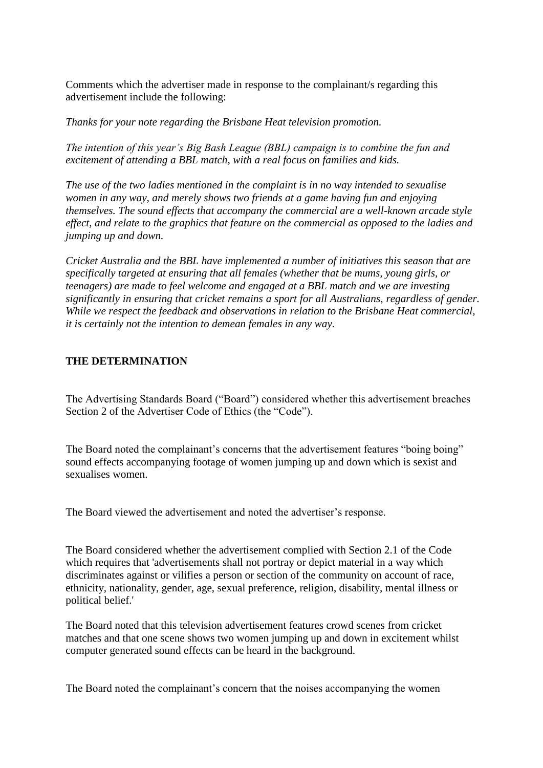Comments which the advertiser made in response to the complainant/s regarding this advertisement include the following:

*Thanks for your note regarding the Brisbane Heat television promotion.*

*The intention of this year's Big Bash League (BBL) campaign is to combine the fun and excitement of attending a BBL match, with a real focus on families and kids.* 

*The use of the two ladies mentioned in the complaint is in no way intended to sexualise women in any way, and merely shows two friends at a game having fun and enjoying themselves. The sound effects that accompany the commercial are a well-known arcade style effect, and relate to the graphics that feature on the commercial as opposed to the ladies and jumping up and down.* 

*Cricket Australia and the BBL have implemented a number of initiatives this season that are specifically targeted at ensuring that all females (whether that be mums, young girls, or teenagers) are made to feel welcome and engaged at a BBL match and we are investing significantly in ensuring that cricket remains a sport for all Australians, regardless of gender. While we respect the feedback and observations in relation to the Brisbane Heat commercial, it is certainly not the intention to demean females in any way.*

### **THE DETERMINATION**

The Advertising Standards Board ("Board") considered whether this advertisement breaches Section 2 of the Advertiser Code of Ethics (the "Code").

The Board noted the complainant's concerns that the advertisement features "boing boing" sound effects accompanying footage of women jumping up and down which is sexist and sexualises women.

The Board viewed the advertisement and noted the advertiser's response.

The Board considered whether the advertisement complied with Section 2.1 of the Code which requires that 'advertisements shall not portray or depict material in a way which discriminates against or vilifies a person or section of the community on account of race, ethnicity, nationality, gender, age, sexual preference, religion, disability, mental illness or political belief.'

The Board noted that this television advertisement features crowd scenes from cricket matches and that one scene shows two women jumping up and down in excitement whilst computer generated sound effects can be heard in the background.

The Board noted the complainant's concern that the noises accompanying the women